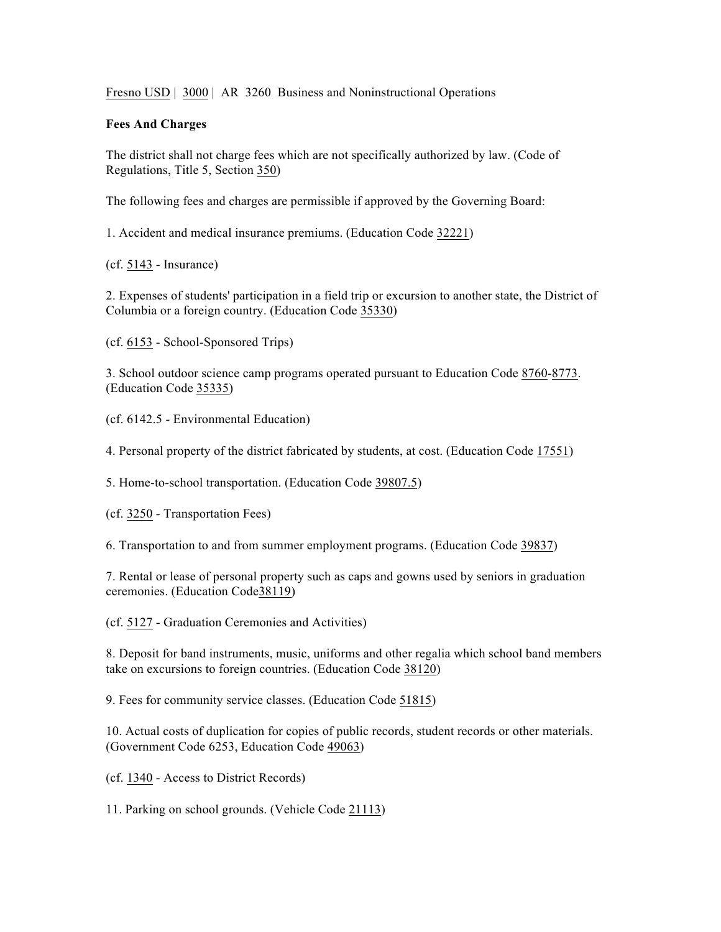Fresno USD | 3000 | AR 3260 Business and Noninstructional Operations

## **Fees And Charges**

The district shall not charge fees which are not specifically authorized by law. (Code of Regulations, Title 5, Section 350)

The following fees and charges are permissible if approved by the Governing Board:

1. Accident and medical insurance premiums. (Education Code 32221)

(cf. 5143 - Insurance)

2. Expenses of students' participation in a field trip or excursion to another state, the District of Columbia or a foreign country. (Education Code 35330)

(cf. 6153 - School-Sponsored Trips)

3. School outdoor science camp programs operated pursuant to Education Code 8760-8773. (Education Code 35335)

(cf. 6142.5 - Environmental Education)

4. Personal property of the district fabricated by students, at cost. (Education Code 17551)

5. Home-to-school transportation. (Education Code 39807.5)

(cf. 3250 - Transportation Fees)

6. Transportation to and from summer employment programs. (Education Code 39837)

7. Rental or lease of personal property such as caps and gowns used by seniors in graduation ceremonies. (Education Code38119)

(cf. 5127 - Graduation Ceremonies and Activities)

8. Deposit for band instruments, music, uniforms and other regalia which school band members take on excursions to foreign countries. (Education Code 38120)

9. Fees for community service classes. (Education Code 51815)

10. Actual costs of duplication for copies of public records, student records or other materials. (Government Code 6253, Education Code 49063)

(cf. 1340 - Access to District Records)

11. Parking on school grounds. (Vehicle Code 21113)